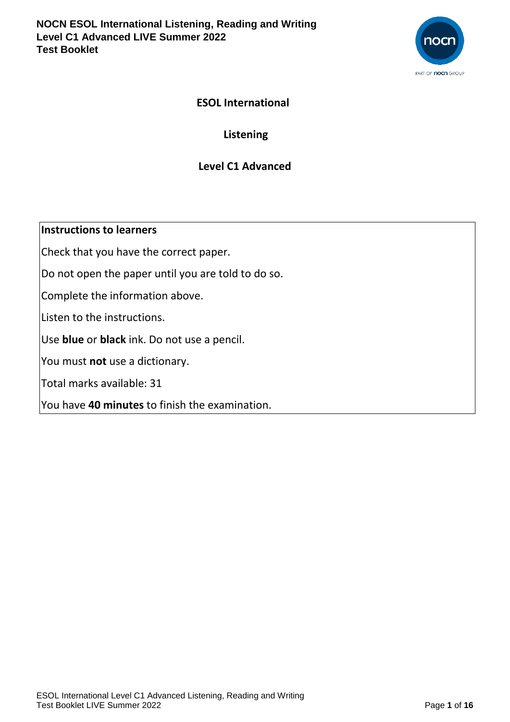

## **ESOL International**

**Listening**

## **Level C1 Advanced**

### **Instructions to learners**

Check that you have the correct paper.

Do not open the paper until you are told to do so.

Complete the information above.

Listen to the instructions.

Use **blue** or **black** ink. Do not use a pencil.

You must **not** use a dictionary.

Total marks available: 31

You have **40 minutes** to finish the examination.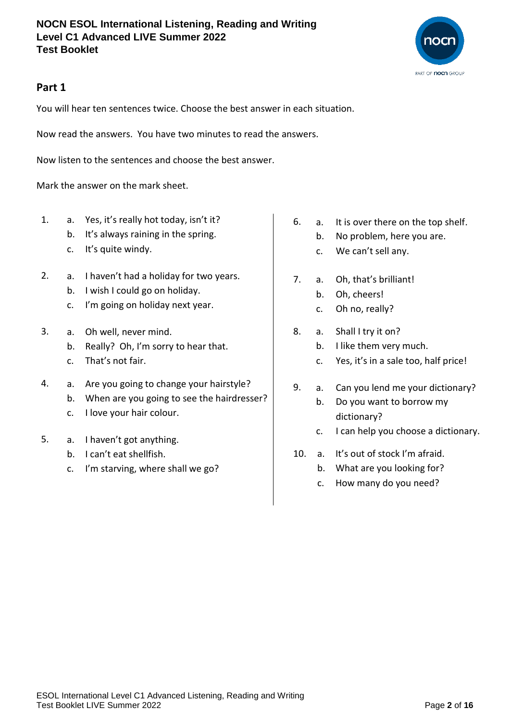

### **Part 1**

You will hear ten sentences twice. Choose the best answer in each situation.

Now read the answers. You have two minutes to read the answers.

Now listen to the sentences and choose the best answer.

Mark the answer on the mark sheet.

- 1. a. Yes, it's really hot today, isn't it?
	- b. It's always raining in the spring.
	- c. It's quite windy.
- 2. a. I haven't had a holiday for two years.
	- b. I wish I could go on holiday.
	- c. I'm going on holiday next year.
- 3. a. Oh well, never mind.
	- b. Really? Oh, I'm sorry to hear that.
	- c. That's not fair.
- 4. a. Are you going to change your hairstyle?
	- b. When are you going to see the hairdresser?
	- c. I love your hair colour.
- 5. a. I haven't got anything.
	- b. I can't eat shellfish.
	- c. I'm starving, where shall we go?
- 6. a. It is over there on the top shelf.
	- b. No problem, here you are.
	- c. We can't sell any.
- 7. a. Oh, that's brilliant!
	- b. Oh, cheers!
	- c. Oh no, really?
- 8. a. Shall I try it on?
	- b. I like them very much.
	- c. Yes, it's in a sale too, half price!
- 9. a. Can you lend me your dictionary?
	- b. Do you want to borrow my dictionary?
	- c. I can help you choose a dictionary.
- 10. a. It's out of stock I'm afraid.
	- b. What are you looking for?
	- c. How many do you need?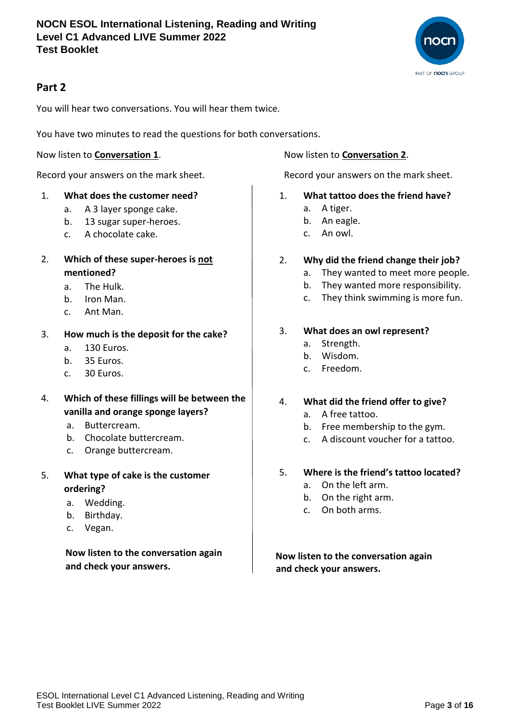## **Part 2**

You will hear two conversations. You will hear them twice.

You have two minutes to read the questions for both conversations.

Now listen to **Conversation 1**.

Record your answers on the mark sheet.

#### 1. **What does the customer need?**

- a. A 3 layer sponge cake.
- b. 13 sugar super-heroes.
- c. A chocolate cake.
- 2. **Which of these super-heroes is not mentioned?** 
	- a. The Hulk.
	- b. Iron Man.
	- c. Ant Man.

#### 3. **How much is the deposit for the cake?**

- a. 130 Euros.
- b. 35 Euros.
- c. 30 Euros.
- 4. **Which of these fillings will be between the vanilla and orange sponge layers?**
	- a. Buttercream.
	- b. Chocolate buttercream.
	- c. Orange buttercream.
- 5. **What type of cake is the customer ordering?**
	- a. Wedding.
	- b. Birthday.
	- c. Vegan.

**Now listen to the conversation again and check your answers.**



Record your answers on the mark sheet.

- 1. **What tattoo does the friend have?**
	- a. A tiger.
	- b. An eagle.
	- c. An owl.
- 2. **Why did the friend change their job?**
	- a. They wanted to meet more people.
	- b. They wanted more responsibility.
	- c. They think swimming is more fun.

#### 3. **What does an owl represent?**

- a. Strength.
- b. Wisdom.
- c. Freedom.

#### 4. **What did the friend offer to give?**

- a. A free tattoo.
- b. Free membership to the gym.
- c. A discount voucher for a tattoo.
- 5. **Where is the friend's tattoo located?**
	- a. On the left arm.
	- b. On the right arm.
	- c. On both arms.

**Now listen to the conversation again and check your answers.**

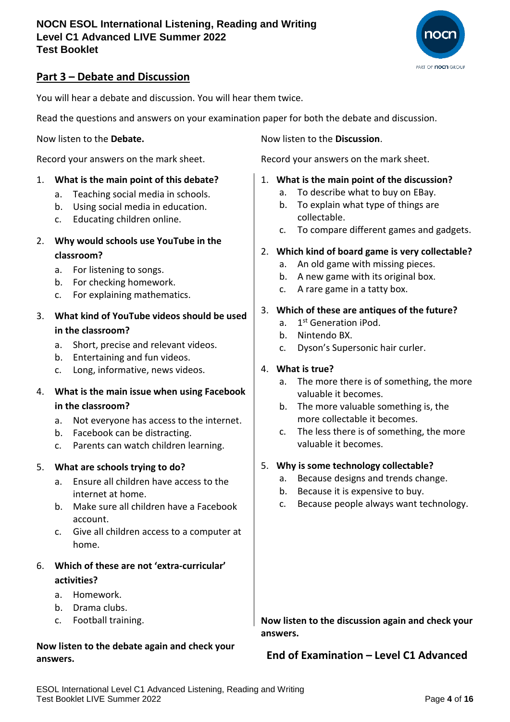

# **Part 3 – Debate and Discussion**

You will hear a debate and discussion. You will hear them twice.

Read the questions and answers on your examination paper for both the debate and discussion.

Now listen to the **Debate.**

Record your answers on the mark sheet.

#### 1. **What is the main point of this debate?**

- a. Teaching social media in schools.
- b. Using social media in education.
- c. Educating children online.

## 2. **Why would schools use YouTube in the classroom?**

- a. For listening to songs.
- b. For checking homework.
- c. For explaining mathematics.
- 3. **What kind of YouTube videos should be used in the classroom?**
	- a. Short, precise and relevant videos.
	- b. Entertaining and fun videos.
	- c. Long, informative, news videos.
- 4. **What is the main issue when using Facebook in the classroom?**
	- a. Not everyone has access to the internet.
	- b. Facebook can be distracting.
	- c. Parents can watch children learning.

#### 5. **What are schools trying to do?**

- a. Ensure all children have access to the internet at home.
- b. Make sure all children have a Facebook account.
- c. Give all children access to a computer at home.

## 6. **Which of these are not 'extra-curricular' activities?**

- a. Homework.
- b. Drama clubs.
- c. Football training.

## **Now listen to the debate again and check your answers.**

Now listen to the **Discussion**.

Record your answers on the mark sheet.

- 1. **What is the main point of the discussion?**
	- a. To describe what to buy on EBay.
	- b. To explain what type of things are collectable.
	- c. To compare different games and gadgets.
- 2. **Which kind of board game is very collectable?**
	- a. An old game with missing pieces.
	- b. A new game with its original box.
	- c. A rare game in a tatty box.
- 3. **Which of these are antiques of the future?**
	- $a<sub>1</sub>$ 1<sup>st</sup> Generation iPod.
	- b. Nintendo BX.
	- c. Dyson's Supersonic hair curler.
- 4. **What is true?**
	- a. The more there is of something, the more valuable it becomes.
	- b. The more valuable something is, the more collectable it becomes.
	- c. The less there is of something, the more valuable it becomes.

#### 5. **Why is some technology collectable?**

- a. Because designs and trends change.
	- b. Because it is expensive to buy.
	- c. Because people always want technology.

**Now listen to the discussion again and check your answers.**

## **End of Examination – Level C1 Advanced**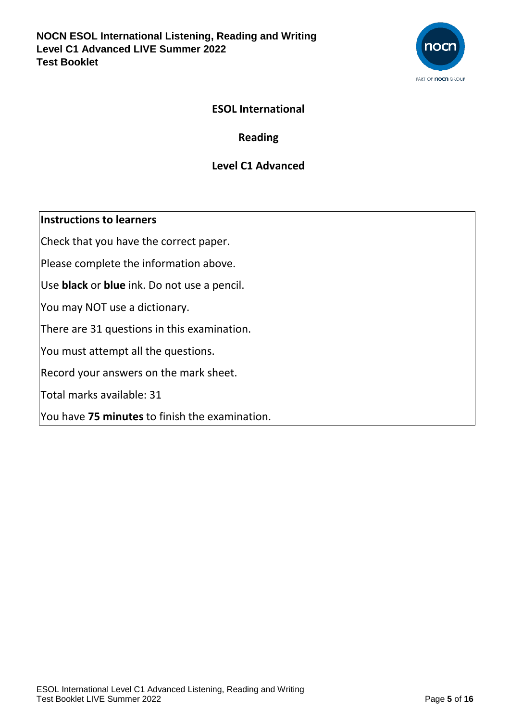

## **ESOL International**

**Reading** 

## **Level C1 Advanced**

**Instructions to learners** 

Check that you have the correct paper.

Please complete the information above.

Use **black** or **blue** ink. Do not use a pencil.

You may NOT use a dictionary.

There are 31 questions in this examination.

You must attempt all the questions.

Record your answers on the mark sheet.

Total marks available: 31

You have **75 minutes** to finish the examination.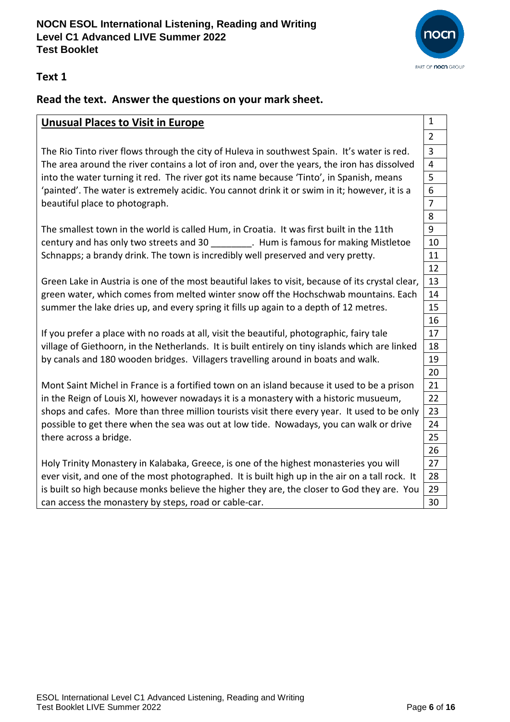

# **Read the text. Answer the questions on your mark sheet.**

# **Unusual Places to Visit in Europe** 1

The Rio Tinto river flows through the city of Huleva in southwest Spain. It's water is red.  $\vert$  3 The area around the river contains a lot of iron and, over the years, the iron has dissolved  $\parallel$  4 into the water turning it red. The river got its name because 'Tinto', in Spanish, means  $\frac{1}{5}$ 'painted'. The water is extremely acidic. You cannot drink it or swim in it; however, it is a  $\Box$  6 beautiful place to photograph. **7** and the set of the set of the set of the set of the set of the set of the set of the set of the set of the set of the set of the set of the set of the set of the set of the set of the set

The smallest town in the world is called Hum, in Croatia. It was first built in the 11th  $\vert$  9 century and has only two streets and 30  $\Box$  Hum is famous for making Mistletoe  $\Box$  10 Schnapps; a brandy drink. The town is incredibly well preserved and very pretty.  $11$ 

Green Lake in Austria is one of the most beautiful lakes to visit, because of its crystal clear,  $\vert$  13 green water, which comes from melted winter snow off the Hochschwab mountains. Each  $\parallel$  14 summer the lake dries up, and every spring it fills up again to a depth of 12 metres.  $15$ 

If you prefer a place with no roads at all, visit the beautiful, photographic, fairy tale  $17$ village of Giethoorn, in the Netherlands. It is built entirely on tiny islands which are linked  $\parallel$  18 by canals and 180 wooden bridges. Villagers travelling around in boats and walk. 19

Mont Saint Michel in France is a fortified town on an island because it used to be a prison  $\vert$  21 in the Reign of Louis XI, however nowadays it is a monastery with a historic musueum,  $\vert$  22 shops and cafes. More than three million tourists visit there every year. It used to be only 23 possible to get there when the sea was out at low tide. Nowadays, you can walk or drive  $\vert$  24 there across a bridge. 25

Holy Trinity Monastery in Kalabaka, Greece, is one of the highest monasteries you will 27 ever visit, and one of the most photographed. It is built high up in the air on a tall rock. It  $\parallel$ is built so high because monks believe the higher they are, the closer to God they are. You  $\vert$ can access the monastery by steps, road or cable-car.  $\vert$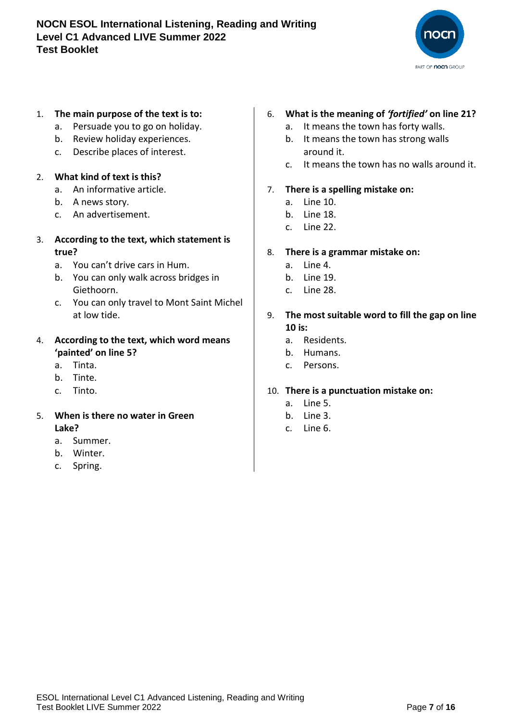

#### 1. **The main purpose of the text is to:**

- a. Persuade you to go on holiday.
- b. Review holiday experiences.
- c. Describe places of interest.

#### 2. **What kind of text is this?**

- a. An informative article.
- b. A news story.
- c. An advertisement.

#### 3. **According to the text, which statement is true?**

- a. You can't drive cars in Hum.
- b. You can only walk across bridges in Giethoorn.
- c. You can only travel to Mont Saint Michel at low tide.

### 4. **According to the text, which word means 'painted' on line 5?**

- a. Tinta.
- b. Tinte.
- c. Tinto.
- 5. **When is there no water in Green Lake?**
	- a. Summer.
	- b. Winter.
	- c. Spring.

#### 6. **What is the meaning of** *'fortified'* **on line 21?**

- a. It means the town has forty walls.
- b. It means the town has strong walls around it.
- c. It means the town has no walls around it.
- 7. **There is a spelling mistake on:**
	- a. Line 10.
	- b. Line 18.
	- c. Line 22.
- 8. **There is a grammar mistake on:**
	- a. Line 4.
	- b. Line 19.
	- c. Line 28.
- 9. **The most suitable word to fill the gap on line 10 is:**
	- a. Residents.
	- b. Humans.
	- c. Persons.

#### 10. **There is a punctuation mistake on:**

- a. Line 5.
- b. Line 3.
- c. Line 6.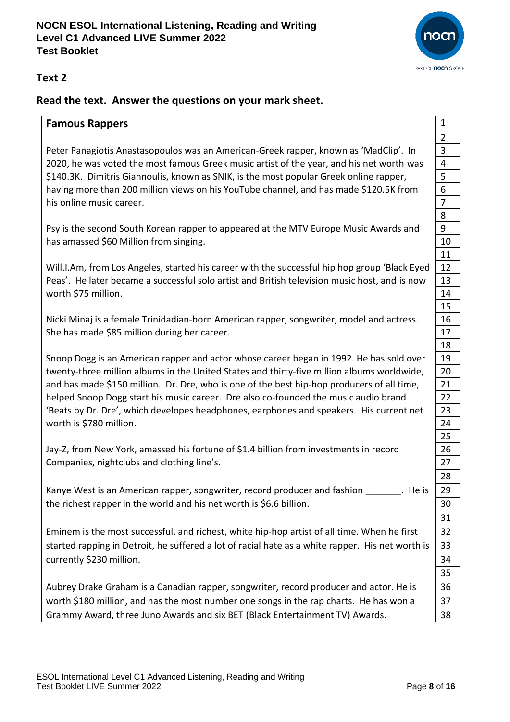

## **Read the text. Answer the questions on your mark sheet.**

### **Famous Rappers** 1

Peter Panagiotis Anastasopoulos was an American-Greek rapper, known as 'MadClip'. In 2020, he was voted the most famous Greek music artist of the year, and his net worth was \$140.3K. Dimitris Giannoulis, known as SNIK, is the most popular Greek online rapper, having more than 200 million views on his YouTube channel, and has made \$120.5K from his online music career. The contract of the contract of the contract of the contract of the contract of the contract of the contract of the contract of the contract of the contract of the contract of the contract of the c

Psy is the second South Korean rapper to appeared at the MTV Europe Music Awards and  $\vert$  9 has amassed \$60 Million from singing. 10 and 10 and 10 and 10 and 10 and 10 and 10 and 10 and 10 and 10 and 10

Will.I.Am, from Los Angeles, started his career with the successful hip hop group 'Black Eyed  $\mid$  12 Peas'. He later became a successful solo artist and British television music host, and is now  $\parallel$  13 worth \$75 million. [14] the state of the state of the state of the state of the state of the state of the state of the state of the state of the state of the state of the state of the state of the state of the state of the

Nicki Minaj is a female Trinidadian-born American rapper, songwriter, model and actress.  $\vert$  16 She has made \$85 million during her career. 17 and 17

Snoop Dogg is an American rapper and actor whose career began in 1992. He has sold over  $\parallel$  19 twenty-three million albums in the United States and thirty-five million albums worldwide, 20 and has made \$150 million. Dr. Dre, who is one of the best hip-hop producers of all time,  $\vert$  21 helped Snoop Dogg start his music career. Dre also co-founded the music audio brand 22 'Beats by Dr. Dre', which developes headphones, earphones and speakers. His current net  $\vert$  23 worth is \$780 million. 24

Jay-Z, from New York, amassed his fortune of \$1.4 billion from investments in record 26 Companies, nightclubs and clothing line's. 27

Kanye West is an American rapper, songwriter, record producer and fashion  $\blacksquare$ . He is 29 the richest rapper in the world and his net worth is \$6.6 billion.  $\vert$  30

Eminem is the most successful, and richest, white hip-hop artist of all time. When he first  $\vert$  32 started rapping in Detroit, he suffered a lot of racial hate as a white rapper. His net worth is  $\vert$  33 currently \$230 million. 34

Aubrey Drake Graham is a Canadian rapper, songwriter, record producer and actor. He is  $\vert$  36 worth \$180 million, and has the most number one songs in the rap charts. He has won a  $\vert$  37 Grammy Award, three Juno Awards and six BET (Black Entertainment TV) Awards. 38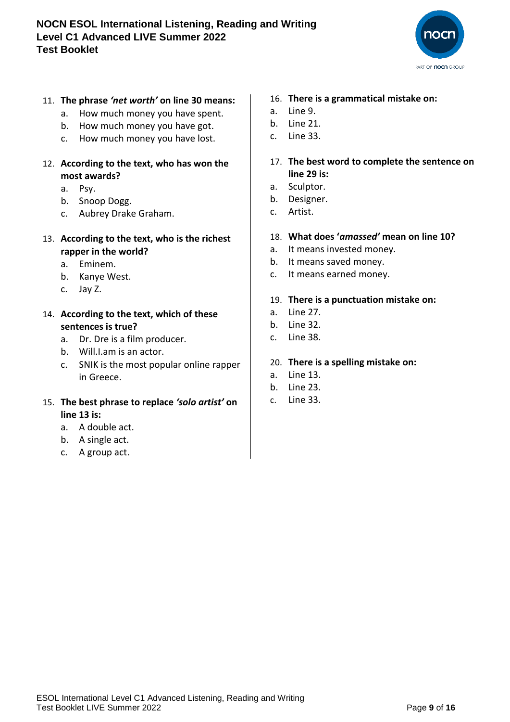

#### 11. **The phrase** *'net worth'* **on line 30 means:**

- a. How much money you have spent.
- b. How much money you have got.
- c. How much money you have lost.
- 12. **According to the text, who has won the most awards?**
	- a. Psy.
	- b. Snoop Dogg.
	- c. Aubrey Drake Graham.
- 13. **According to the text, who is the richest rapper in the world?**
	- a. Eminem.
	- b. Kanye West.
	- c. Jay Z.
- 14. **According to the text, which of these sentences is true?**
	- a. Dr. Dre is a film producer.
	- b. Will.I.am is an actor.
	- c. SNIK is the most popular online rapper in Greece.
- 15. **The best phrase to replace** *'solo artist'* **on line 13 is:**
	- a. A double act.
	- b. A single act.
	- c. A group act.
- 16. **There is a grammatical mistake on:**
- a. Line 9.
- b. Line 21.
- c. Line 33.
- 17. **The best word to complete the sentence on line 29 is:**
- a. Sculptor.
- b. Designer.
- c. Artist.
- 18. **What does '***amassed'* **mean on line 10?**
- a. It means invested money.
- b. It means saved money.
- c. It means earned money.
- 19. **There is a punctuation mistake on:**
- a. Line 27.
- b. Line 32.
- c. Line 38.
- 20. **There is a spelling mistake on:**
- a. Line 13.
- b. Line 23.
- c. Line 33.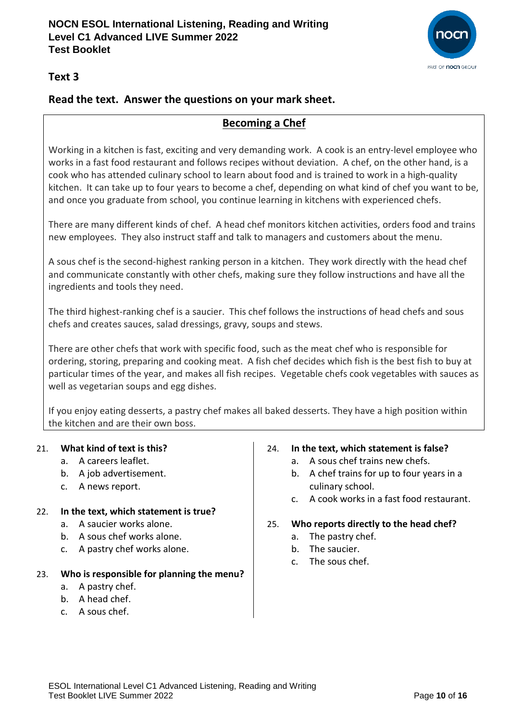

# **Read the text. Answer the questions on your mark sheet.**

## **Becoming a Chef**

Working in a kitchen is fast, exciting and very demanding work. A cook is an entry-level employee who works in a fast food restaurant and follows recipes without deviation. A chef, on the other hand, is a cook who has attended culinary school to learn about food and is trained to work in a high-quality kitchen. It can take up to four years to become a chef, depending on what kind of chef you want to be, and once you graduate from school, you continue learning in kitchens with experienced chefs.

There are many different kinds of chef. A head chef monitors kitchen activities, orders food and trains new employees. They also instruct staff and talk to managers and customers about the menu.

A sous chef is the second-highest ranking person in a kitchen. They work directly with the head chef and communicate constantly with other chefs, making sure they follow instructions and have all the ingredients and tools they need.

The third highest-ranking chef is a saucier. This chef follows the instructions of head chefs and sous chefs and creates sauces, salad dressings, gravy, soups and stews.

There are other chefs that work with specific food, such as the meat chef who is responsible for ordering, storing, preparing and cooking meat. A fish chef decides which fish is the best fish to buy at particular times of the year, and makes all fish recipes. Vegetable chefs cook vegetables with sauces as well as vegetarian soups and egg dishes.

If you enjoy eating desserts, a pastry chef makes all baked desserts. They have a high position within the kitchen and are their own boss.

#### 21. **What kind of text is this?**

- a. A careers leaflet.
- b. A job advertisement.
- c. A news report.

#### 22. **In the text, which statement is true?**

- a. A saucier works alone.
- b. A sous chef works alone.
- c. A pastry chef works alone.

#### 23. **Who is responsible for planning the menu?**

- a. A pastry chef.
- b. A head chef.
- c. A sous chef.

#### 24. **In the text, which statement is false?**

- a. A sous chef trains new chefs.
- b. A chef trains for up to four years in a culinary school.
- c. A cook works in a fast food restaurant.

#### 25. **Who reports directly to the head chef?**

- a. The pastry chef.
- b. The saucier.
- c. The sous chef.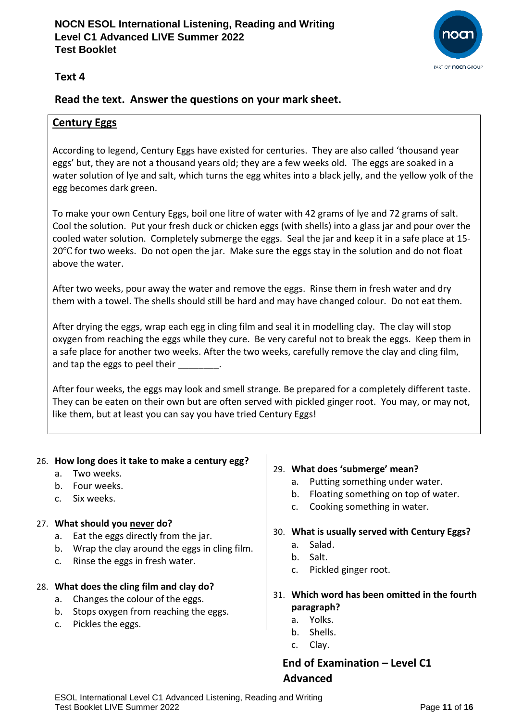

## **Read the text. Answer the questions on your mark sheet.**

## **Century Eggs**

According to legend, Century Eggs have existed for centuries. They are also called 'thousand year eggs' but, they are not a thousand years old; they are a few weeks old. The eggs are soaked in a water solution of lye and salt, which turns the egg whites into a black jelly, and the yellow yolk of the egg becomes dark green.

To make your own Century Eggs, boil one litre of water with 42 grams of lye and 72 grams of salt. Cool the solution. Put your fresh duck or chicken eggs (with shells) into a glass jar and pour over the cooled water solution. Completely submerge the eggs. Seal the jar and keep it in a safe place at 15- 20℃ for two weeks. Do not open the jar. Make sure the eggs stay in the solution and do not float above the water.

After two weeks, pour away the water and remove the eggs. Rinse them in fresh water and dry them with a towel. The shells should still be hard and may have changed colour. Do not eat them.

After drying the eggs, wrap each egg in cling film and seal it in modelling clay. The clay will stop oxygen from reaching the eggs while they cure. Be very careful not to break the eggs. Keep them in a safe place for another two weeks. After the two weeks, carefully remove the clay and cling film, and tap the eggs to peel their  $\qquad \qquad$ .

After four weeks, the eggs may look and smell strange. Be prepared for a completely different taste. They can be eaten on their own but are often served with pickled ginger root. You may, or may not, like them, but at least you can say you have tried Century Eggs!

#### 26. **How long does it take to make a century egg?**

- a. Two weeks.
- b. Four weeks.
- c. Six weeks.

#### 27. **What should you never do?**

- a. Eat the eggs directly from the jar.
- b. Wrap the clay around the eggs in cling film.
- c. Rinse the eggs in fresh water.

#### 28. **What does the cling film and clay do?**

- a. Changes the colour of the eggs.
- b. Stops oxygen from reaching the eggs.
- c. Pickles the eggs.

#### 29. **What does 'submerge' mean?**

- a. Putting something under water.
- b. Floating something on top of water.
- c. Cooking something in water.
- 30. **What is usually served with Century Eggs?**
	- a. Salad.
	- b. Salt.
	- c. Pickled ginger root.
- 31. **Which word has been omitted in the fourth paragraph?** 
	- a. Yolks.
	- b. Shells.
	- c. Clay.

# **End of Examination – Level C1 Advanced**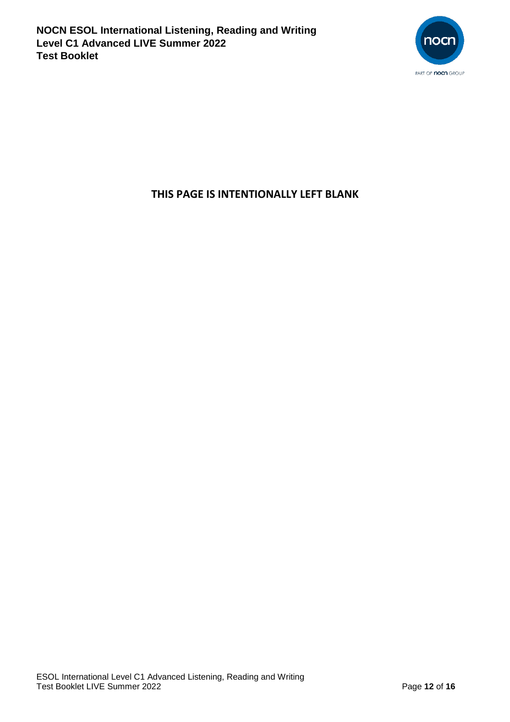

# **THIS PAGE IS INTENTIONALLY LEFT BLANK**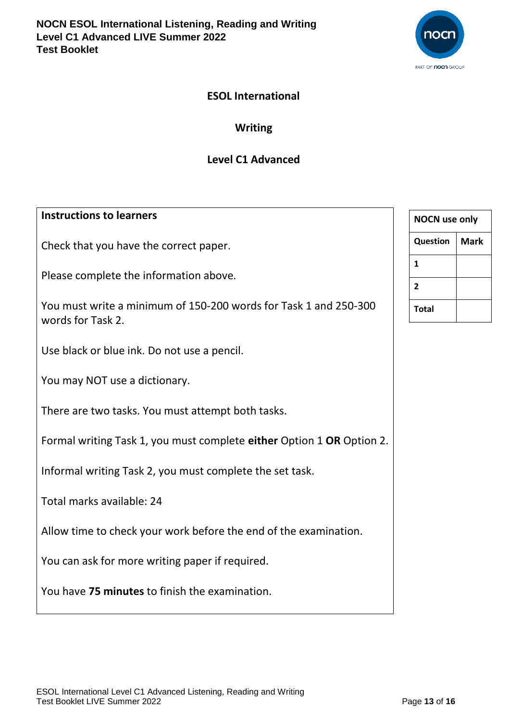

# **ESOL International**

**Writing** 

# **Level C1 Advanced**

| <b>Instructions to learners</b>                                                       |  |
|---------------------------------------------------------------------------------------|--|
| Check that you have the correct paper.                                                |  |
| Please complete the information above.                                                |  |
| You must write a minimum of 150-200 words for Task 1 and 250-300<br>words for Task 2. |  |
| Use black or blue ink. Do not use a pencil.                                           |  |
| You may NOT use a dictionary.                                                         |  |
| There are two tasks. You must attempt both tasks.                                     |  |
| Formal writing Task 1, you must complete either Option 1 OR Option 2.                 |  |
| Informal writing Task 2, you must complete the set task.                              |  |
| Total marks available: 24                                                             |  |
| Allow time to check your work before the end of the examination.                      |  |
| You can ask for more writing paper if required.                                       |  |
| You have 75 minutes to finish the examination.                                        |  |

| <b>NOCN use only</b> |      |
|----------------------|------|
| Question             | Mark |
| 1                    |      |
| $\overline{2}$       |      |
| Total                |      |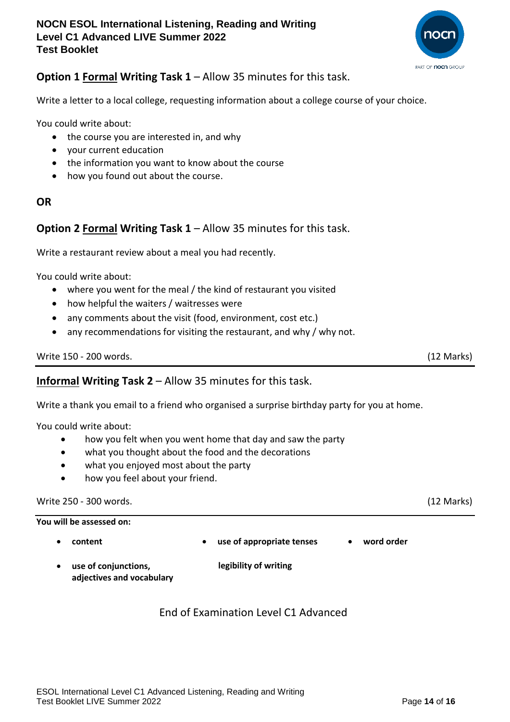

# **Option 1 Formal Writing Task 1** – Allow 35 minutes for this task.

Write a letter to a local college, requesting information about a college course of your choice.

You could write about:

- the course you are interested in, and why
- your current education
- the information you want to know about the course
- how you found out about the course.

#### **OR**

## **Option 2 Formal Writing Task 1** – Allow 35 minutes for this task.

Write a restaurant review about a meal you had recently.

You could write about:

- where you went for the meal / the kind of restaurant you visited
- how helpful the waiters / waitresses were
- any comments about the visit (food, environment, cost etc.)
- any recommendations for visiting the restaurant, and why / why not.

Write 150 - 200 words. (12 Marks)

## **Informal Writing Task 2** – Allow 35 minutes for this task.

Write a thank you email to a friend who organised a surprise birthday party for you at home.

You could write about:

- how you felt when you went home that day and saw the party
- what you thought about the food and the decorations
- what you enjoyed most about the party
- how you feel about your friend.

#### Write 250 - 300 words. (12 Marks)



# End of Examination Level C1 Advanced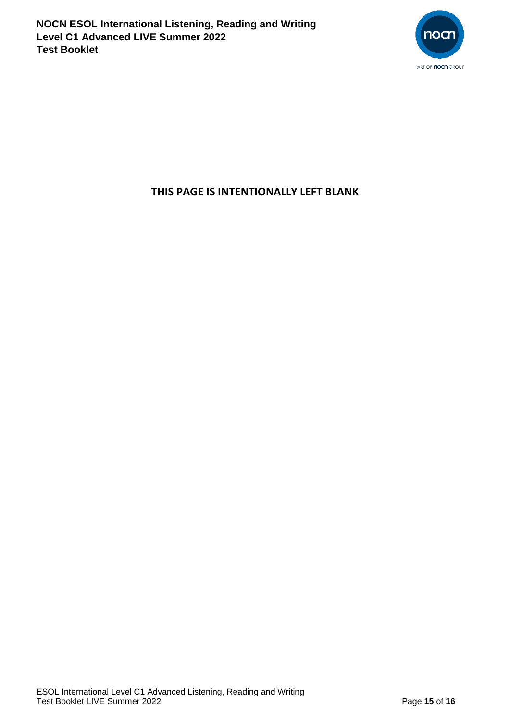

# **THIS PAGE IS INTENTIONALLY LEFT BLANK**